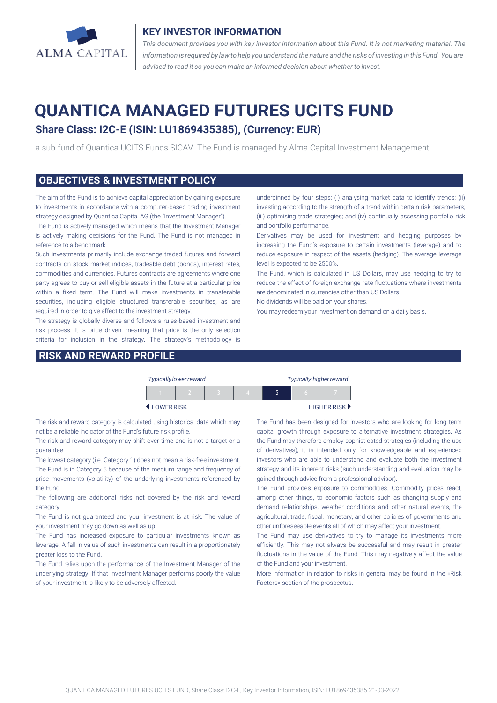

### **KEY INVESTOR INFORMATION**

*This document provides you with key investor information about this Fund. It is not marketing material. The* information is required by law to help you understand the nature and the risks of investing in this Fund. You are *advised to read it so you can make an informed decision about whether to invest.*

# **QUANTICA MANAGED FUTURES UCITS FUND**

# **Share Class: I2C-E (ISIN: LU1869435385), (Currency: EUR)**

a sub-fund of Quantica UCITS Funds SICAV. The Fund is managed by Alma Capital Investment Management.

#### **OBJECTIVES & INVESTMENT POLICY**

The aim of the Fund is to achieve capital appreciation by gaining exposure to investments in accordance with a computer-based trading investment strategy designed by Quantica Capital AG (the "Investment Manager").

The Fund is actively managed which means that the Investment Manager is actively making decisions for the Fund. The Fund is not managed in reference to a benchmark.

Such investments primarily include exchange traded futures and forward contracts on stock market indices, tradeable debt (bonds), interest rates, commodities and currencies. Futures contracts are agreements where one party agrees to buy or sell eligible assets in the future at a particular price within a fixed term. The Fund will make investments in transferable securities, including eligible structured transferable securities, as are required in order to give effect to the investment strategy.

The strategy is globally diverse and follows a rules-based investment and risk process. It is price driven, meaning that price is the only selection criteria for inclusion in the strategy. The strategy's methodology is

### **RISK AND REWARD PROFILE**

underpinned by four steps: (i) analysing market data to identify trends; (ii) investing according to the strength of a trend within certain risk parameters; (iii) optimising trade strategies; and (iv) continually assessing portfolio risk and portfolio performance.

Derivatives may be used for investment and hedging purposes by increasing the Fund's exposure to certain investments (leverage) and to reduce exposure in respect of the assets (hedging). The average leverage level is expected to be 2500%.

The Fund, which is calculated in US Dollars, may use hedging to try to reduce the effect of foreign exchange rate fluctuations where investments are denominated in currencies other than US Dollars.

No dividends will be paid on your shares.

You may redeem your investment on demand on a daily basis.

|           | <b>Typically lower reward</b> |  |  | <b>Typically higher reward</b> |             |  |
|-----------|-------------------------------|--|--|--------------------------------|-------------|--|
|           |                               |  |  |                                | n           |  |
| LOWERRISK |                               |  |  |                                | HIGHER RISK |  |

The risk and reward category is calculated using historical data which may not be a reliable indicator of the Fund's future risk profile.

The risk and reward category may shift over time and is not a target or a guarantee.

The lowest category (i.e. Category 1) does not mean a risk-free investment. The Fund is in Category 5 because of the medium range and frequency of price movements (volatility) of the underlying investments referenced by the Fund.

The following are additional risks not covered by the risk and reward category.

The Fund is not guaranteed and your investment is at risk. The value of your investment may go down as well as up.

The Fund has increased exposure to particular investments known as leverage. A fall in value of such investments can result in a proportionately greater loss to the Fund.

The Fund relies upon the performance of the Investment Manager of the underlying strategy. If that Investment Manager performs poorly the value of your investment is likely to be adversely affected.

The Fund has been designed for investors who are looking for long term capital growth through exposure to alternative investment strategies. As the Fund may therefore employ sophisticated strategies (including the use of derivatives), it is intended only for knowledgeable and experienced investors who are able to understand and evaluate both the investment strategy and its inherent risks (such understanding and evaluation may be gained through advice from a professional advisor).

The Fund provides exposure to commodities. Commodity prices react, among other things, to economic factors such as changing supply and demand relationships, weather conditions and other natural events, the agricultural, trade, fiscal, monetary, and other policies of governments and other unforeseeable events all of which may affect your investment.

The Fund may use derivatives to try to manage its investments more efficiently. This may not always be successful and may result in greater fluctuations in the value of the Fund. This may negatively affect the value of the Fund and your investment.

More information in relation to risks in general may be found in the «Risk Factors» section of the prospectus.